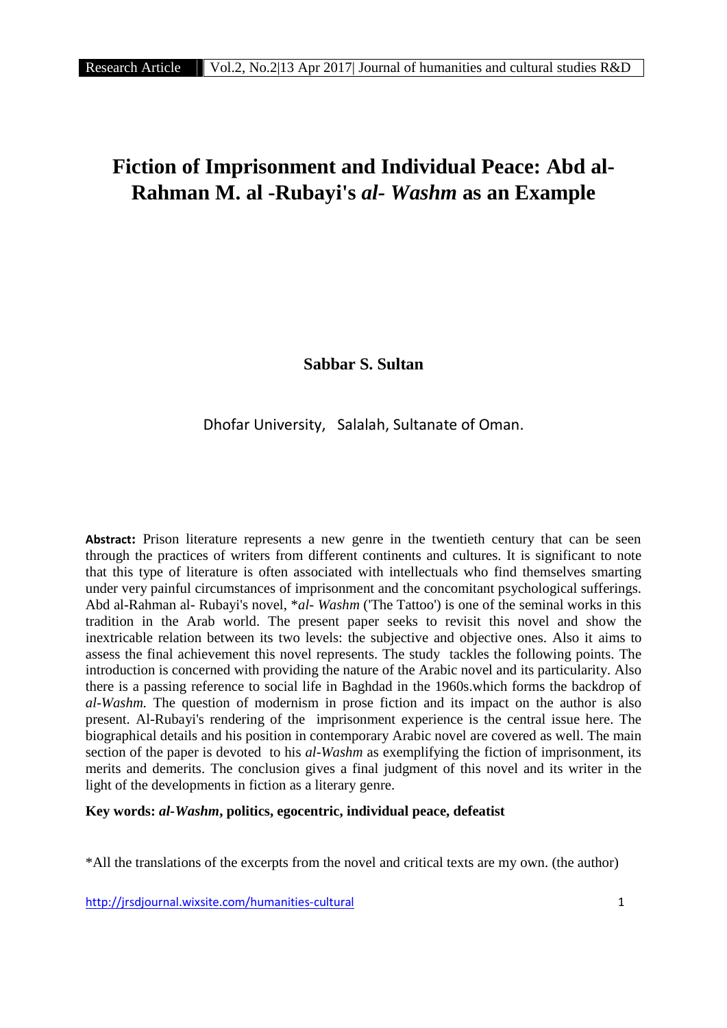# **Fiction of Imprisonment and Individual Peace: Abd al- Rahman M. al -Rubayi's** *al- Washm* **as an Example**

**Sabbar S. Sultan**

Dhofar University, Salalah, Sultanate of Oman.

**Abstract:** Prison literature represents a new genre in the twentieth century that can be seen through the practices of writers from different continents and cultures. It is significant to note that this type of literature is often associated with intellectuals who find themselves smarting under very painful circumstances of imprisonment and the concomitant psychological sufferings. Abd al-Rahman al-Rubayi's novel, \**al- Washm* ('The Tattoo') is one of the seminal works in this tradition in the Arab world. The present paper seeks to revisit this novel and show the inextricable relation between its two levels: the subjective and objective ones. Also it aims to assess the final achievement this novel represents. The study tackles the following points. The introduction is concerned with providing the nature of the Arabic novel and its particularity. Also there is a passing reference to social life in Baghdad in the 1960s.which forms the backdrop of *al-Washm.* The question of modernism in prose fiction and its impact on the author is also present. Al-Rubayi's rendering of the imprisonment experience is the central issue here. The biographical details and his position in contemporary Arabic novel are covered as well. The main section of the paper is devoted to his *al-Washm* as exemplifying the fiction of imprisonment, its merits and demerits. The conclusion gives a final judgment of this novel and its writer in the light of the developments in fiction as a literary genre.

# **Key words:** *al-Washm***, politics, egocentric, individual peace, defeatist**

\*All the translations of the excerpts from the novel and critical texts are my own. (the author)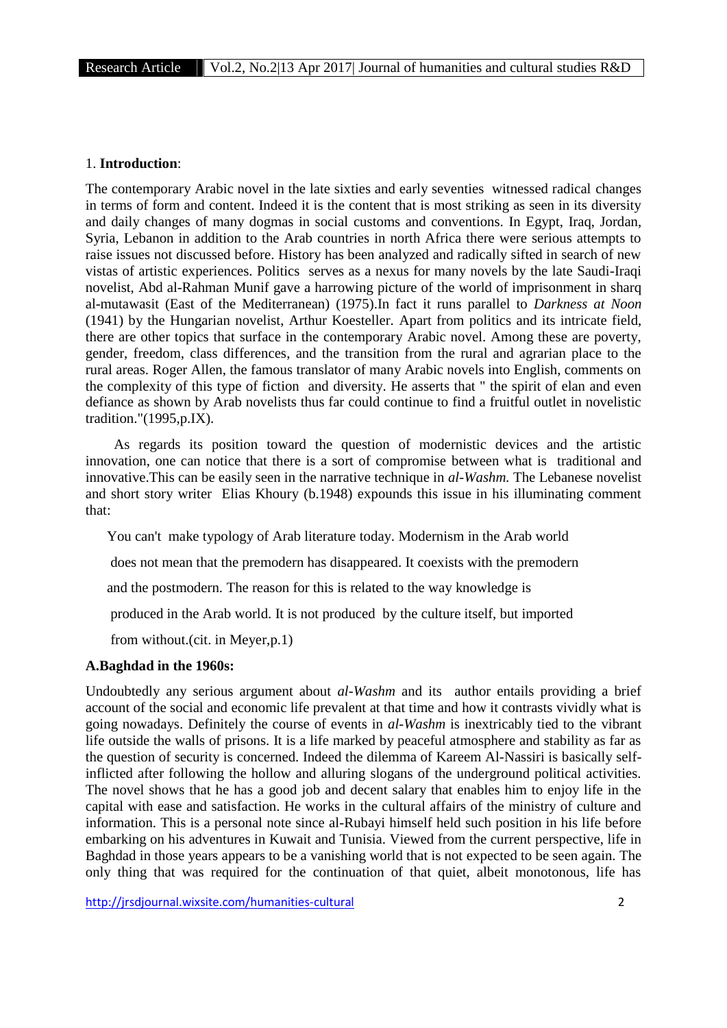#### 1. **Introduction**:

The contemporary Arabic novel in the late sixties and early seventies witnessed radical changes in terms of form and content. Indeed it is the content that is most striking as seen in its diversity and daily changes of many dogmas in social customs and conventions. In Egypt, Iraq, Jordan, Syria, Lebanon in addition to the Arab countries in north Africa there were serious attempts to raise issues not discussed before. History has been analyzed and radically sifted in search of new vistas of artistic experiences. Politics serves as a nexus for many novels by the late Saudi-Iraqi novelist, Abd al-Rahman Munif gave a harrowing picture of the world of imprisonment in sharq al-mutawasit (East of the Mediterranean) (1975).In fact it runs parallel to *Darkness at Noon* (1941) by the Hungarian novelist, Arthur Koesteller. Apart from politics and its intricate field, there are other topics that surface in the contemporary Arabic novel. Among these are poverty, gender, freedom, class differences, and the transition from the rural and agrarian place to the rural areas. Roger Allen, the famous translator of many Arabic novels into English, comments on the complexity of this type of fiction and diversity. He asserts that " the spirit of elan and even defiance as shown by Arab novelists thus far could continue to find a fruitful outlet in novelistic tradition."(1995,p.IX).

As regards its position toward the question of modernistic devices and the artistic innovation, one can notice that there is a sort of compromise between what is traditional and innovative.This can be easily seen in the narrative technique in *al-Washm.* The Lebanese novelist and short story writer Elias Khoury (b.1948) expounds this issue in his illuminating comment that:

You can't make typology of Arab literature today. Modernism in the Arab world

does not mean that the premodern has disappeared. It coexists with the premodern

and the postmodern. The reason for this is related to the way knowledge is

produced in the Arab world. It is not produced by the culture itself, but imported

from without.(cit. in Meyer,p.1)

## **A.Baghdad in the 1960s:**

Undoubtedly any serious argument about *al-Washm* and its author entails providing a brief account of the social and economic life prevalent at that time and how it contrasts vividly what is going nowadays. Definitely the course of events in *al-Washm* is inextricably tied to the vibrant life outside the walls of prisons. It is a life marked by peaceful atmosphere and stability as far as the question of security is concerned. Indeed the dilemma of Kareem Al-Nassiri is basically selfinflicted after following the hollow and alluring slogans of the underground political activities. The novel shows that he has a good job and decent salary that enables him to enjoy life in the capital with ease and satisfaction. He works in the cultural affairs of the ministry of culture and information. This is a personal note since al-Rubayi himself held such position in his life before embarking on his adventures in Kuwait and Tunisia. Viewed from the current perspective, life in Baghdad in those years appears to be a vanishing world that is not expected to be seen again. The only thing that was required for the continuation of that quiet, albeit monotonous, life has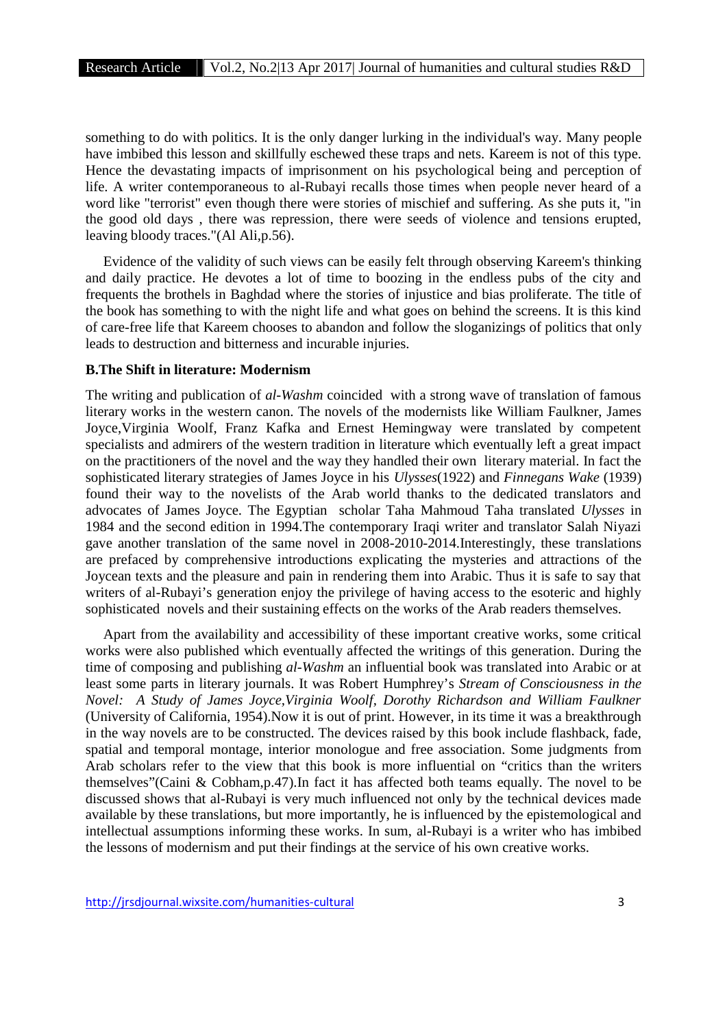something to do with politics. It is the only danger lurking in the individual's way. Many people have imbibed this lesson and skillfully eschewed these traps and nets. Kareem is not of this type. Hence the devastating impacts of imprisonment on his psychological being and perception of life. A writer contemporaneous to al-Rubayi recalls those times when people never heard of a word like "terrorist" even though there were stories of mischief and suffering. As she puts it, "in the good old days , there was repression, there were seeds of violence and tensions erupted, leaving bloody traces."(Al Ali,p.56).

Evidence of the validity of such views can be easily felt through observing Kareem's thinking and daily practice. He devotes a lot of time to boozing in the endless pubs of the city and frequents the brothels in Baghdad where the stories of injustice and bias proliferate. The title of the book has something to with the night life and what goes on behind the screens. It is this kind of care-free life that Kareem chooses to abandon and follow the sloganizings of politics that only leads to destruction and bitterness and incurable injuries.

#### **B.The Shift in literature: Modernism**

The writing and publication of *al-Washm* coincided with a strong wave of translation of famous literary works in the western canon. The novels of the modernists like William Faulkner, James Joyce,Virginia Woolf, Franz Kafka and Ernest Hemingway were translated by competent specialists and admirers of the western tradition in literature which eventually left a great impact on the practitioners of the novel and the way they handled their own literary material. In fact the sophisticated literary strategies of James Joyce in his *Ulysses*(1922) and *Finnegans Wake* (1939) found their way to the novelists of the Arab world thanks to the dedicated translators and advocates of James Joyce. The Egyptian scholar Taha Mahmoud Taha translated *Ulysses* in 1984 and the second edition in 1994.The contemporary Iraqi writer and translator Salah Niyazi gave another translation of the same novel in 2008-2010-2014.Interestingly, these translations are prefaced by comprehensive introductions explicating the mysteries and attractions of the Joycean texts and the pleasure and pain in rendering them into Arabic. Thus it is safe to say that writers of al-Rubayi's generation enjoy the privilege of having access to the esoteric and highly sophisticated novels and their sustaining effects on the works of the Arab readers themselves.

Apart from the availability and accessibility of these important creative works, some critical works were also published which eventually affected the writings of this generation. During the time of composing and publishing *al-Washm* an influential book was translated into Arabic or at least some parts in literary journals. It was Robert Humphrey's *Stream of Consciousness in the Novel: A Study of James Joyce,Virginia Woolf, Dorothy Richardson and William Faulkner* (University of California, 1954).Now it is out of print. However, in its time it was a breakthrough in the way novels are to be constructed. The devices raised by this book include flashback, fade, spatial and temporal montage, interior monologue and free association. Some judgments from Arab scholars refer to the view that this book is more influential on "critics than the writers themselves"(Caini & Cobham,p.47).In fact it has affected both teams equally. The novel to be discussed shows that al-Rubayi is very much influenced not only by the technical devices made available by these translations, but more importantly, he is influenced by the epistemological and intellectual assumptions informing these works. In sum, al-Rubayi is a writer who has imbibed the lessons of modernism and put their findings at the service of his own creative works.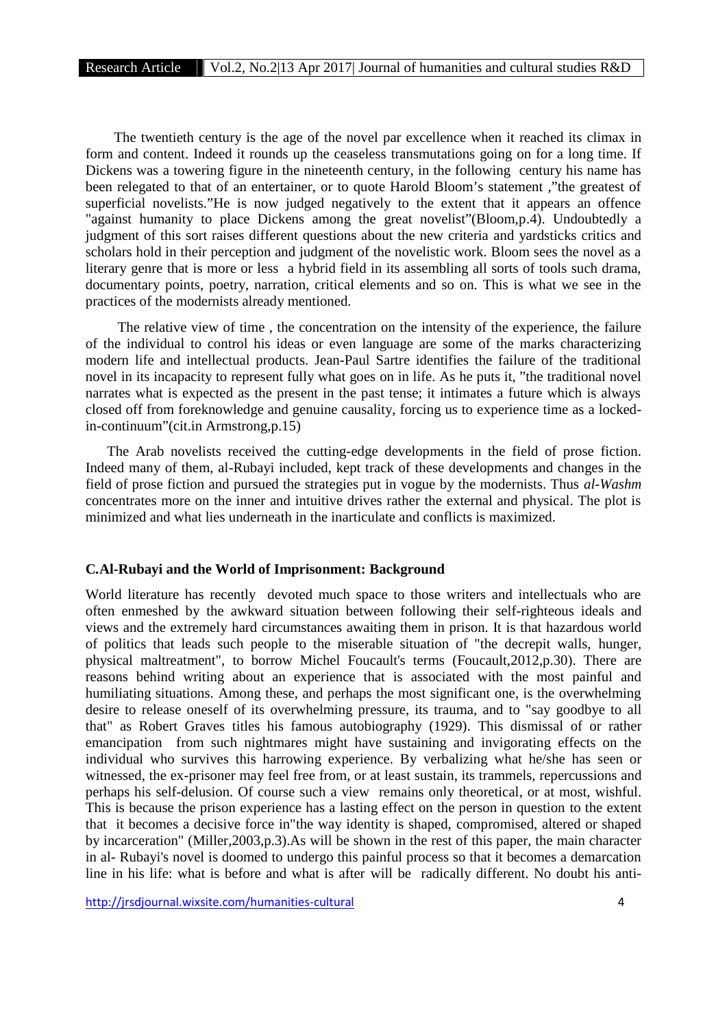The twentieth century is the age of the novel par excellence when it reached its climax in form and content. Indeed it rounds up the ceaseless transmutations going on for a long time. If Dickens was a towering figure in the nineteenth century, in the following century his name has been relegated to that of an entertainer, or to quote Harold Bloom's statement ,"the greatest of superficial novelists."He is now judged negatively to the extent that it appears an offence "against humanity to place Dickens among the great novelist"(Bloom,p.4). Undoubtedly a judgment of this sort raises different questions about the new criteria and yardsticks critics and scholars hold in their perception and judgment of the novelistic work. Bloom sees the novel as a literary genre that is more or less a hybrid field in its assembling all sorts of tools such drama, documentary points, poetry, narration, critical elements and so on. This is what we see in the practices of the modernists already mentioned.

The relative view of time , the concentration on the intensity of the experience, the failure of the individual to control his ideas or even language are some of the marks characterizing modern life and intellectual products. Jean-Paul Sartre identifies the failure of the traditional novel in its incapacity to represent fully what goes on in life. As he puts it, "the traditional novel narrates what is expected as the present in the past tense; it intimates a future which is always closed off from foreknowledge and genuine causality, forcing us to experience time as a lockedin-continuum"(cit.in Armstrong,p.15)

The Arab novelists received the cutting-edge developments in the field of prose fiction. Indeed many of them, al-Rubayi included, kept track of these developments and changes in the field of prose fiction and pursued the strategies put in vogue by the modernists. Thus *al-Washm* concentrates more on the inner and intuitive drives rather the external and physical. The plot is minimized and what lies underneath in the inarticulate and conflicts is maximized.

## **C***.***Al-Rubayi and the World of Imprisonment: Background**

World literature has recently devoted much space to those writers and intellectuals who are often enmeshed by the awkward situation between following their self-righteous ideals and views and the extremely hard circumstances awaiting them in prison. It is that hazardous world of politics that leads such people to the miserable situation of "the decrepit walls, hunger, physical maltreatment", to borrow Michel Foucault's terms (Foucault,2012,p.30). There are reasons behind writing about an experience that is associated with the most painful and humiliating situations. Among these, and perhaps the most significant one, is the overwhelming desire to release oneself of its overwhelming pressure, its trauma, and to "say goodbye to all that" as Robert Graves titles his famous autobiography (1929). This dismissal of or rather emancipation from such nightmares might have sustaining and invigorating effects on the individual who survives this harrowing experience. By verbalizing what he/she has seen or witnessed, the ex-prisoner may feel free from, or at least sustain, its trammels, repercussions and perhaps his self-delusion. Of course such a view remains only theoretical, or at most, wishful. This is because the prison experience has a lasting effect on the person in question to the extent that it becomes a decisive force in"the way identity is shaped, compromised, altered or shaped by incarceration" (Miller,2003,p.3).As will be shown in the rest of this paper, the main character in al- Rubayi's novel is doomed to undergo this painful process so that it becomes a demarcation line in his life: what is before and what is after will be radically different. No doubt his anti-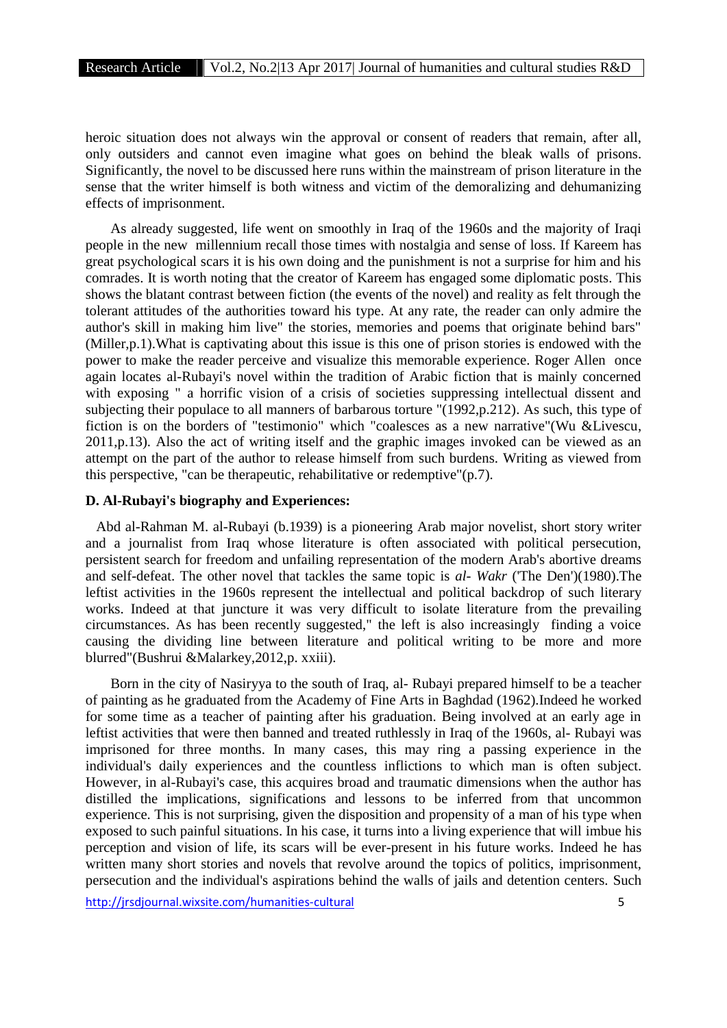heroic situation does not always win the approval or consent of readers that remain, after all, only outsiders and cannot even imagine what goes on behind the bleak walls of prisons. Significantly, the novel to be discussed here runs within the mainstream of prison literature in the sense that the writer himself is both witness and victim of the demoralizing and dehumanizing effects of imprisonment.

As already suggested, life went on smoothly in Iraq of the 1960s and the majority of Iraqi people in the new millennium recall those times with nostalgia and sense of loss. If Kareem has great psychological scars it is his own doing and the punishment is not a surprise for him and his comrades. It is worth noting that the creator of Kareem has engaged some diplomatic posts. This shows the blatant contrast between fiction (the events of the novel) and reality as felt through the tolerant attitudes of the authorities toward his type. At any rate, the reader can only admire the author's skill in making him live" the stories, memories and poems that originate behind bars" (Miller,p.1).What is captivating about this issue is this one of prison stories is endowed with the power to make the reader perceive and visualize this memorable experience. Roger Allen once again locates al-Rubayi's novel within the tradition of Arabic fiction that is mainly concerned with exposing " a horrific vision of a crisis of societies suppressing intellectual dissent and subjecting their populace to all manners of barbarous torture "(1992,p.212). As such, this type of fiction is on the borders of "testimonio" which "coalesces as a new narrative"(Wu &Livescu, 2011,p.13). Also the act of writing itself and the graphic images invoked can be viewed as an attempt on the part of the author to release himself from such burdens. Writing as viewed from this perspective, "can be therapeutic, rehabilitative or redemptive"(p.7).

## **D. Al-Rubayi's biography and Experiences:**

Abd al-Rahman M. al-Rubayi (b.1939) is a pioneering Arab major novelist, short story writer and a journalist from Iraq whose literature is often associated with political persecution, persistent search for freedom and unfailing representation of the modern Arab's abortive dreams and self-defeat. The other novel that tackles the same topic is *al- Wakr* ('The Den')(1980).The leftist activities in the 1960s represent the intellectual and political backdrop of such literary works. Indeed at that juncture it was very difficult to isolate literature from the prevailing circumstances. As has been recently suggested," the left is also increasingly finding a voice causing the dividing line between literature and political writing to be more and more blurred"(Bushrui &Malarkey,2012,p. xxiii).

Born in the city of Nasiryya to the south of Iraq, al- Rubayi prepared himself to be a teacher of painting as he graduated from the Academy of Fine Arts in Baghdad (1962).Indeed he worked for some time as a teacher of painting after his graduation. Being involved at an early age in leftist activities that were then banned and treated ruthlessly in Iraq of the 1960s, al- Rubayi was imprisoned for three months. In many cases, this may ring a passing experience in the individual's daily experiences and the countless inflictions to which man is often subject. However, in al-Rubayi's case, this acquires broad and traumatic dimensions when the author has distilled the implications, significations and lessons to be inferred from that uncommon experience. This is not surprising, given the disposition and propensity of a man of his type when exposed to such painful situations. In his case, it turns into a living experience that will imbue his perception and vision of life, its scars will be ever-present in his future works. Indeed he has written many short stories and novels that revolve around the topics of politics, imprisonment, persecution and the individual's aspirations behind the walls of jails and detention centers. Such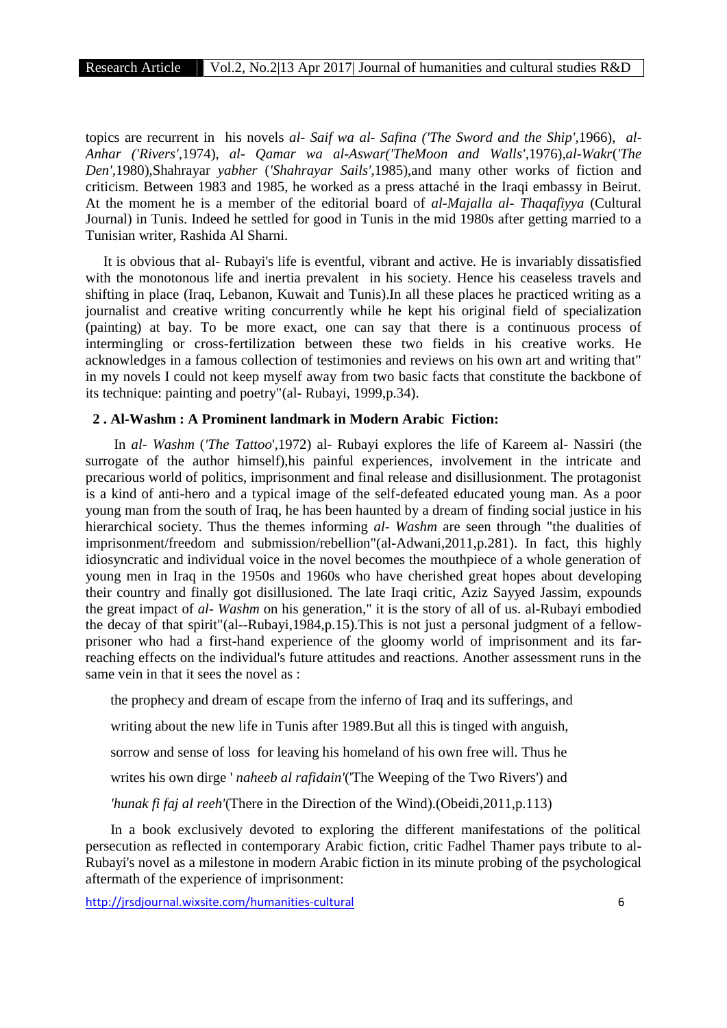topics are recurrent in his novels *al- Saif wa al- Safina ('The Sword and the Ship',*1966), *al- Anhar ('Rivers',*1974), *al- Qamar wa al-Aswar('TheMoon and Walls',*1976),*al-Wakr*(*'The Den',*1980),Shahrayar *yabher* (*'Shahrayar Sails',*1985),and many other works of fiction and criticism. Between 1983 and 1985, he worked as a press attaché in the Iraqi embassy in Beirut. At the moment he is a member of the editorial board of *al-Majalla al- Thaqafiyya* (Cultural Journal) in Tunis. Indeed he settled for good in Tunis in the mid 1980s after getting married to a Tunisian writer, Rashida Al Sharni.

It is obvious that al- Rubayi's life is eventful, vibrant and active. He is invariably dissatisfied with the monotonous life and inertia prevalent in his society. Hence his ceaseless travels and shifting in place (Iraq, Lebanon, Kuwait and Tunis).In all these places he practiced writing as a journalist and creative writing concurrently while he kept his original field of specialization (painting) at bay. To be more exact, one can say that there is a continuous process of intermingling or cross-fertilization between these two fields in his creative works. He acknowledges in a famous collection of testimonies and reviews on his own art and writing that" in my novels I could not keep myself away from two basic facts that constitute the backbone of its technique: painting and poetry"(al- Rubayi, 1999,p.34).

## **2 . Al-Washm : A Prominent landmark in Modern Arabic Fiction:**

In *al- Washm* (*'The Tattoo*',1972) al- Rubayi explores the life of Kareem al- Nassiri (the surrogate of the author himself),his painful experiences, involvement in the intricate and precarious world of politics, imprisonment and final release and disillusionment. The protagonist is a kind of anti-hero and a typical image of the self-defeated educated young man. As a poor young man from the south of Iraq, he has been haunted by a dream of finding social justice in his hierarchical society. Thus the themes informing *al- Washm* are seen through "the dualities of imprisonment/freedom and submission/rebellion"(al-Adwani,2011,p.281). In fact, this highly idiosyncratic and individual voice in the novel becomes the mouthpiece of a whole generation of young men in Iraq in the 1950s and 1960s who have cherished great hopes about developing their country and finally got disillusioned. The late Iraqi critic, Aziz Sayyed Jassim, expounds the great impact of *al- Washm* on his generation," it is the story of all of us. al-Rubayi embodied the decay of that spirit"(al--Rubayi,1984,p.15).This is not just a personal judgment of a fellow prisoner who had a first-hand experience of the gloomy world of imprisonment and its farreaching effects on the individual's future attitudes and reactions. Another assessment runs in the same vein in that it sees the novel as :

the prophecy and dream of escape from the inferno of Iraq and its sufferings, and writing about the new life in Tunis after 1989.But all this is tinged with anguish, sorrow and sense of loss for leaving his homeland of his own free will. Thus he writes his own dirge ' *naheeb al rafidain'*('The Weeping of the Two Rivers') and *'hunak fi faj al reeh'*(There in the Direction of the Wind).(Obeidi,2011,p.113)

In a book exclusively devoted to exploring the different manifestations of the political persecution as reflected in contemporary Arabic fiction, critic Fadhel Thamer pays tribute to al- Rubayi's novel as a milestone in modern Arabic fiction in its minute probing of the psychological aftermath of the experience of imprisonment: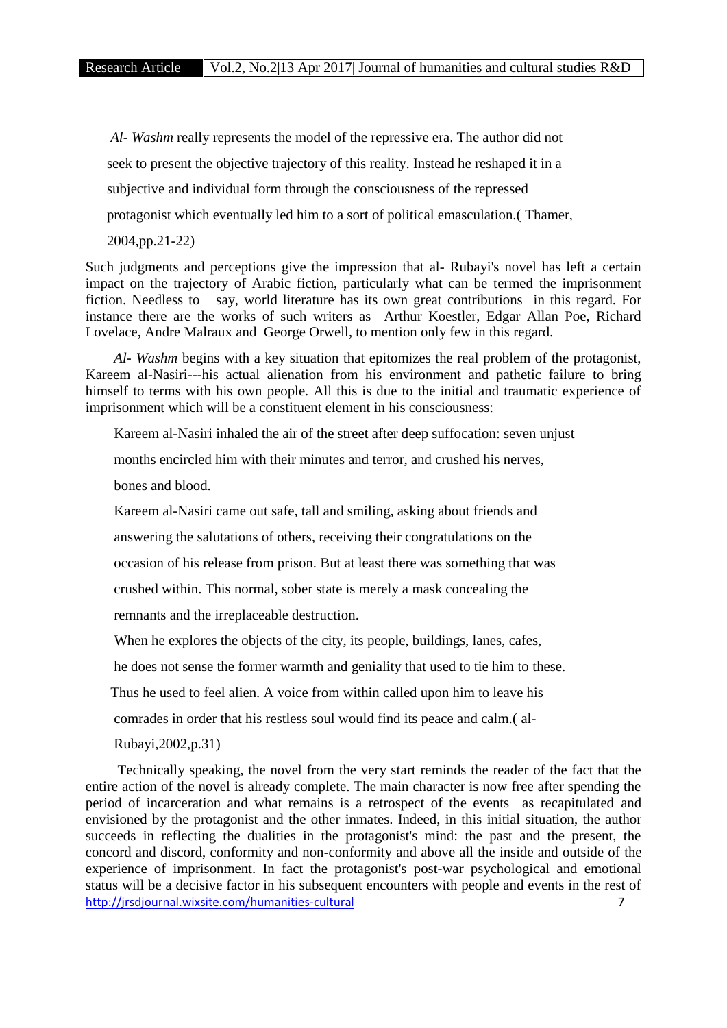*Al- Washm* really represents the model of the repressive era. The author did not seek to present the objective trajectory of this reality. Instead he reshaped it in a subjective and individual form through the consciousness of the repressed protagonist which eventually led him to a sort of political emasculation.( Thamer, 2004,pp.21-22)

Such judgments and perceptions give the impression that al- Rubayi's novel has left a certain impact on the trajectory of Arabic fiction, particularly what can be termed the imprisonment fiction. Needless to say, world literature has its own great contributions in this regard. For instance there are the works of such writers as Arthur Koestler, Edgar Allan Poe, Richard Lovelace, Andre Malraux and George Orwell, to mention only few in this regard.

*Al- Washm* begins with a key situation that epitomizes the real problem of the protagonist, Kareem al-Nasiri---his actual alienation from his environment and pathetic failure to bring himself to terms with his own people. All this is due to the initial and traumatic experience of imprisonment which will be a constituent element in his consciousness:

Kareem al-Nasiri inhaled the air of the street after deep suffocation: seven unjust

months encircled him with their minutes and terror, and crushed his nerves,

bones and blood.

Kareem al-Nasiri came out safe, tall and smiling, asking about friends and

answering the salutations of others, receiving their congratulations on the

occasion of his release from prison. But at least there was something that was

crushed within. This normal, sober state is merely a mask concealing the

remnants and the irreplaceable destruction.

When he explores the objects of the city, its people, buildings, lanes, cafes,

he does not sense the former warmth and geniality that used to tie him to these.

Thus he used to feel alien. A voice from within called upon him to leave his

comrades in order that his restless soul would find its peace and calm.( al-

Rubayi,2002,p.31)

http://jrsdjournal.wixsite.com/humanities-cultural 7 Technically speaking, the novel from the very start reminds the reader of the fact that the entire action of the novel is already complete. The main character is now free after spending the period of incarceration and what remains is a retrospect of the events as recapitulated and envisioned by the protagonist and the other inmates. Indeed, in this initial situation, the author succeeds in reflecting the dualities in the protagonist's mind: the past and the present, the concord and discord, conformity and non-conformity and above all the inside and outside of the experience of imprisonment. In fact the protagonist's post-war psychological and emotional status will be a decisive factor in his subsequent encounters with people and events in the rest of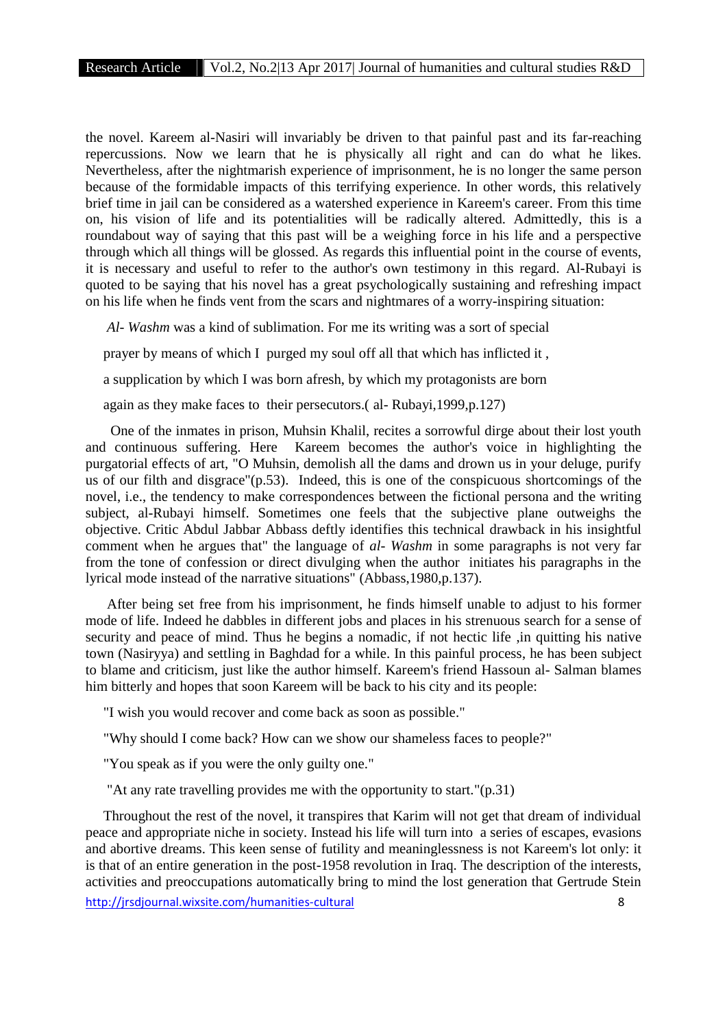the novel. Kareem al-Nasiri will invariably be driven to that painful past and its far-reaching repercussions. Now we learn that he is physically all right and can do what he likes. Nevertheless, after the nightmarish experience of imprisonment, he is no longer the same person because of the formidable impacts of this terrifying experience. In other words, this relatively brief time in jail can be considered as a watershed experience in Kareem's career. From this time on, his vision of life and its potentialities will be radically altered. Admittedly, this is a roundabout way of saying that this past will be a weighing force in his life and a perspective through which all things will be glossed. As regards this influential point in the course of events, it is necessary and useful to refer to the author's own testimony in this regard. Al-Rubayi is quoted to be saying that his novel has a great psychologically sustaining and refreshing impact on his life when he finds vent from the scars and nightmares of a worry-inspiring situation:

*Al- Washm* was a kind of sublimation. For me its writing was a sort of special

prayer by means of which I purged my soul off all that which has inflicted it ,

a supplication by which I was born afresh, by which my protagonists are born

again as they make faces to their persecutors.( al- Rubayi,1999,p.127)

One of the inmates in prison, Muhsin Khalil, recites a sorrowful dirge about their lost youth and continuous suffering. Here Kareem becomes the author's voice in highlighting the purgatorial effects of art, "O Muhsin, demolish all the dams and drown us in your deluge, purify us of our filth and disgrace"(p.53). Indeed, this is one of the conspicuous shortcomings of the novel, i.e., the tendency to make correspondences between the fictional persona and the writing subject, al-Rubayi himself. Sometimes one feels that the subjective plane outweighs the objective. Critic Abdul Jabbar Abbass deftly identifies this technical drawback in his insightful comment when he argues that" the language of *al- Washm* in some paragraphs is not very far from the tone of confession or direct divulging when the author initiates his paragraphs in the lyrical mode instead of the narrative situations" (Abbass,1980,p.137).

After being set free from his imprisonment, he finds himself unable to adjust to his former mode of life. Indeed he dabbles in different jobs and places in his strenuous search for a sense of security and peace of mind. Thus he begins a nomadic, if not hectic life ,in quitting his native town (Nasiryya) and settling in Baghdad for a while. In this painful process, he has been subject to blame and criticism, just like the author himself. Kareem's friend Hassoun al- Salman blames him bitterly and hopes that soon Kareem will be back to his city and its people:

"I wish you would recover and come back as soon as possible."

"Why should I come back? How can we show our shameless faces to people?"

"You speak as if you were the only guilty one."

"At any rate travelling provides me with the opportunity to start."(p.31)

Throughout the rest of the novel, it transpires that Karim will not get that dream of individual peace and appropriate niche in society. Instead his life will turn into a series of escapes, evasions and abortive dreams. This keen sense of futility and meaninglessness is not Kareem's lot only: it is that of an entire generation in the post-1958 revolution in Iraq. The description of the interests, activities and preoccupations automatically bring to mind the lost generation that Gertrude Stein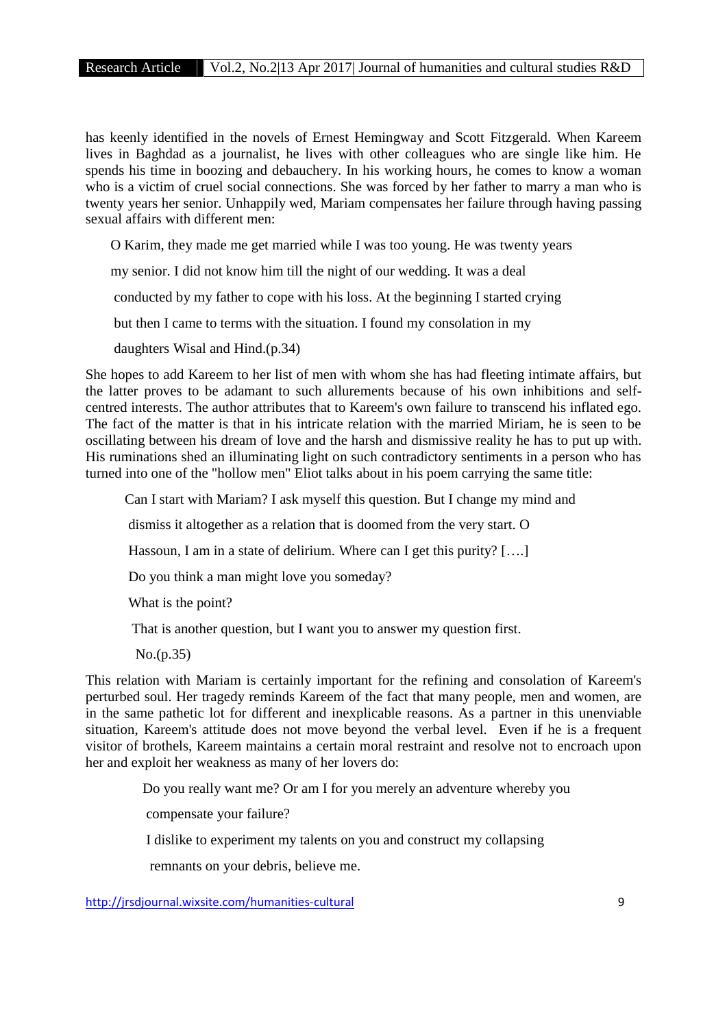has keenly identified in the novels of Ernest Hemingway and Scott Fitzgerald. When Kareem lives in Baghdad as a journalist, he lives with other colleagues who are single like him. He spends his time in boozing and debauchery. In his working hours, he comes to know a woman who is a victim of cruel social connections. She was forced by her father to marry a man who is twenty years her senior. Unhappily wed, Mariam compensates her failure through having passing sexual affairs with different men:

O Karim, they made me get married while I was too young. He was twenty years

my senior. I did not know him till the night of our wedding. It was a deal

conducted by my father to cope with his loss. At the beginning I started crying

but then I came to terms with the situation. I found my consolation in my

daughters Wisal and Hind.(p.34)

She hopes to add Kareem to her list of men with whom she has had fleeting intimate affairs, but the latter proves to be adamant to such allurements because of his own inhibitions and self centred interests. The author attributes that to Kareem's own failure to transcend his inflated ego. The fact of the matter is that in his intricate relation with the married Miriam, he is seen to be oscillating between his dream of love and the harsh and dismissive reality he has to put up with. His ruminations shed an illuminating light on such contradictory sentiments in a person who has turned into one of the "hollow men" Eliot talks about in his poem carrying the same title:

Can I start with Mariam? I ask myself this question. But I change my mind and

dismiss it altogether as a relation that is doomed from the very start. O

Hassoun, I am in a state of delirium. Where can I get this purity? [….]

Do you think a man might love you someday?

What is the point?

That is another question, but I want you to answer my question first.

No.(p.35)

This relation with Mariam is certainly important for the refining and consolation of Kareem's perturbed soul. Her tragedy reminds Kareem of the fact that many people, men and women, are in the same pathetic lot for different and inexplicable reasons. As a partner in this unenviable situation, Kareem's attitude does not move beyond the verbal level. Even if he is a frequent visitor of brothels, Kareem maintains a certain moral restraint and resolve not to encroach upon her and exploit her weakness as many of her lovers do:

Do you really want me? Or am I for you merely an adventure whereby you

compensate your failure?

I dislike to experiment my talents on you and construct my collapsing

remnants on your debris, believe me.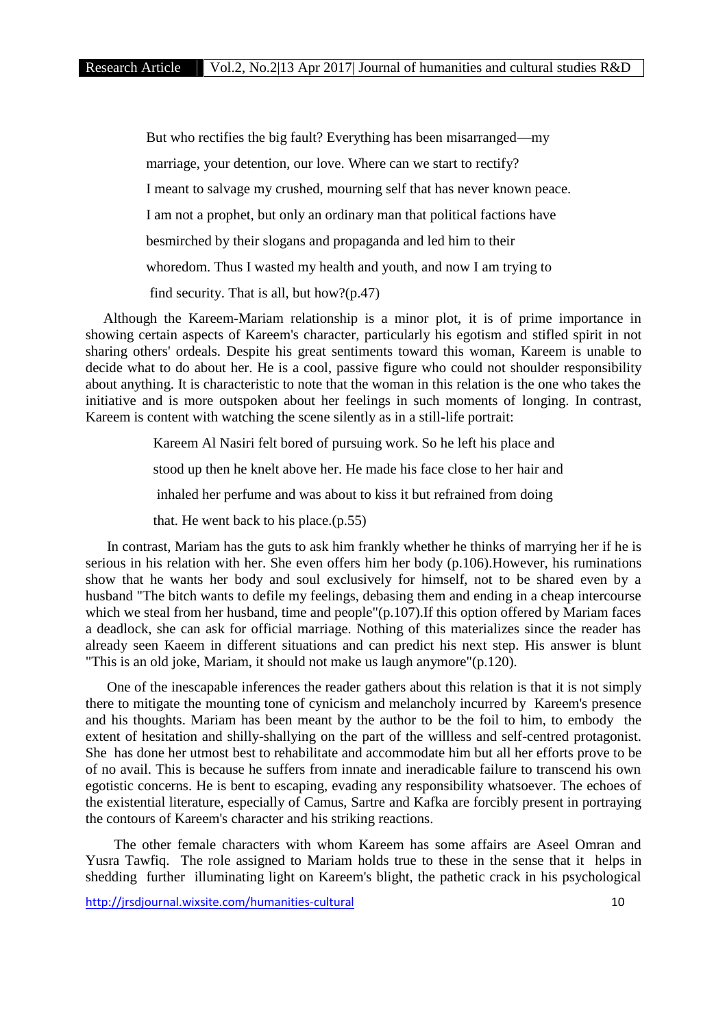But who rectifies the big fault? Everything has been misarranged—my marriage, your detention, our love. Where can we start to rectify? I meant to salvage my crushed, mourning self that has never known peace. I am not a prophet, but only an ordinary man that political factions have besmirched by their slogans and propaganda and led him to their whoredom. Thus I wasted my health and youth, and now I am trying to find security. That is all, but how?(p.47)

Although the Kareem-Mariam relationship is a minor plot, it is of prime importance in showing certain aspects of Kareem's character, particularly his egotism and stifled spirit in not sharing others' ordeals. Despite his great sentiments toward this woman, Kareem is unable to decide what to do about her. He is a cool, passive figure who could not shoulder responsibility about anything. It is characteristic to note that the woman in this relation is the one who takes the initiative and is more outspoken about her feelings in such moments of longing. In contrast, Kareem is content with watching the scene silently as in a still-life portrait:

> Kareem Al Nasiri felt bored of pursuing work. So he left his place and stood up then he knelt above her. He made his face close to her hair and inhaled her perfume and was about to kiss it but refrained from doing that. He went back to his place.(p.55)

In contrast, Mariam has the guts to ask him frankly whether he thinks of marrying her if he is serious in his relation with her. She even offers him her body (p.106).However, his ruminations show that he wants her body and soul exclusively for himself, not to be shared even by a husband "The bitch wants to defile my feelings, debasing them and ending in a cheap intercourse which we steal from her husband, time and people"(p.107). If this option offered by Mariam faces a deadlock, she can ask for official marriage. Nothing of this materializes since the reader has already seen Kaeem in different situations and can predict his next step. His answer is blunt "This is an old joke, Mariam, it should not make us laugh anymore"(p.120).

One of the inescapable inferences the reader gathers about this relation is that it is not simply there to mitigate the mounting tone of cynicism and melancholy incurred by Kareem's presence and his thoughts. Mariam has been meant by the author to be the foil to him, to embody the extent of hesitation and shilly-shallying on the part of the willless and self-centred protagonist. She has done her utmost best to rehabilitate and accommodate him but all her efforts prove to be of no avail. This is because he suffers from innate and ineradicable failure to transcend his own egotistic concerns. He is bent to escaping, evading any responsibility whatsoever. The echoes of the existential literature, especially of Camus, Sartre and Kafka are forcibly present in portraying the contours of Kareem's character and his striking reactions.

The other female characters with whom Kareem has some affairs are Aseel Omran and Yusra Tawfiq. The role assigned to Mariam holds true to these in the sense that it helps in shedding further illuminating light on Kareem's blight, the pathetic crack in his psychological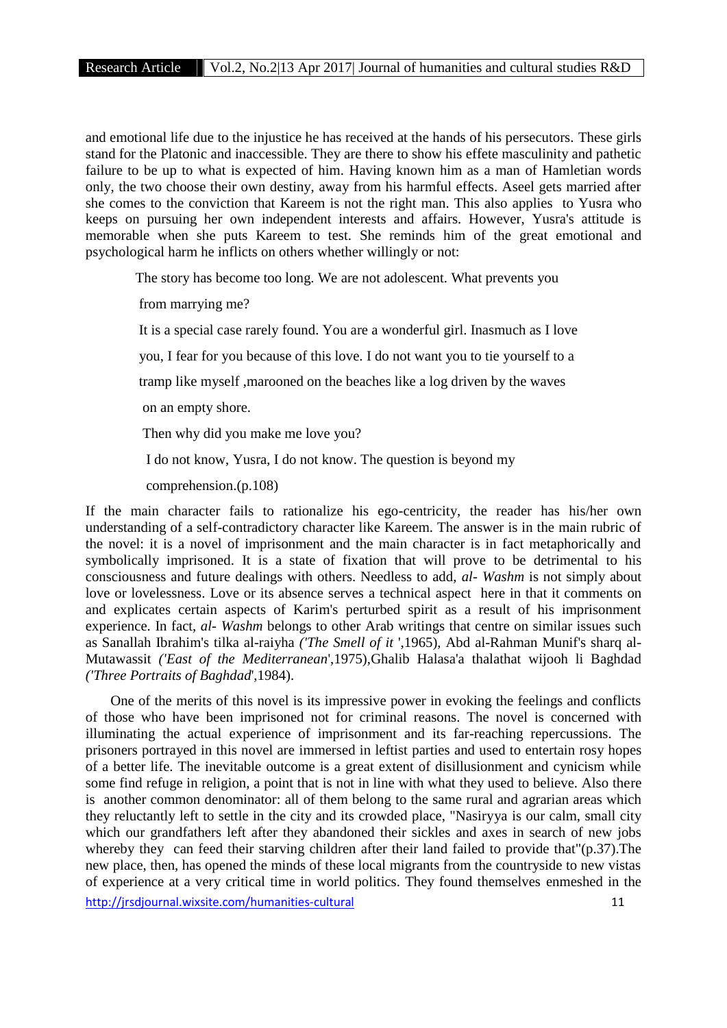and emotional life due to the injustice he has received at the hands of his persecutors. These girls stand for the Platonic and inaccessible. They are there to show his effete masculinity and pathetic failure to be up to what is expected of him. Having known him as a man of Hamletian words only, the two choose their own destiny, away from his harmful effects. Aseel gets married after she comes to the conviction that Kareem is not the right man. This also applies to Yusra who keeps on pursuing her own independent interests and affairs. However, Yusra's attitude is memorable when she puts Kareem to test. She reminds him of the great emotional and psychological harm he inflicts on others whether willingly or not:

The story has become too long. We are not adolescent. What prevents you

from marrying me?

It is a special case rarely found. You are a wonderful girl. Inasmuch as I love

you, I fear for you because of this love. I do not want you to tie yourself to a

tramp like myself ,marooned on the beaches like a log driven by the waves

on an empty shore.

Then why did you make me love you?

I do not know, Yusra, I do not know. The question is beyond my

comprehension.(p.108)

If the main character fails to rationalize his ego-centricity, the reader has his/her own understanding of a self-contradictory character like Kareem. The answer is in the main rubric of the novel: it is a novel of imprisonment and the main character is in fact metaphorically and symbolically imprisoned. It is a state of fixation that will prove to be detrimental to his consciousness and future dealings with others. Needless to add, *al- Washm* is not simply about love or lovelessness. Love or its absence serves a technical aspect here in that it comments on and explicates certain aspects of Karim's perturbed spirit as a result of his imprisonment experience. In fact, *al- Washm* belongs to other Arab writings that centre on similar issues such as Sanallah Ibrahim's tilka al-raiyha *('The Smell of it* ',1965), Abd al-Rahman Munif's sharq al- Mutawassit *('East of the Mediterranean*',1975),Ghalib Halasa'a thalathat wijooh li Baghdad *('Three Portraits of Baghdad*',1984).

One of the merits of this novel is its impressive power in evoking the feelings and conflicts of those who have been imprisoned not for criminal reasons. The novel is concerned with illuminating the actual experience of imprisonment and its far-reaching repercussions. The prisoners portrayed in this novel are immersed in leftist parties and used to entertain rosy hopes of a better life. The inevitable outcome is a great extent of disillusionment and cynicism while some find refuge in religion, a point that is not in line with what they used to believe. Also there is another common denominator: all of them belong to the same rural and agrarian areas which they reluctantly left to settle in the city and its crowded place, "Nasiryya is our calm, small city which our grandfathers left after they abandoned their sickles and axes in search of new jobs whereby they can feed their starving children after their land failed to provide that"(p.37). The new place, then, has opened the minds of these local migrants from the countryside to new vistas of experience at a very critical time in world politics. They found themselves enmeshed in the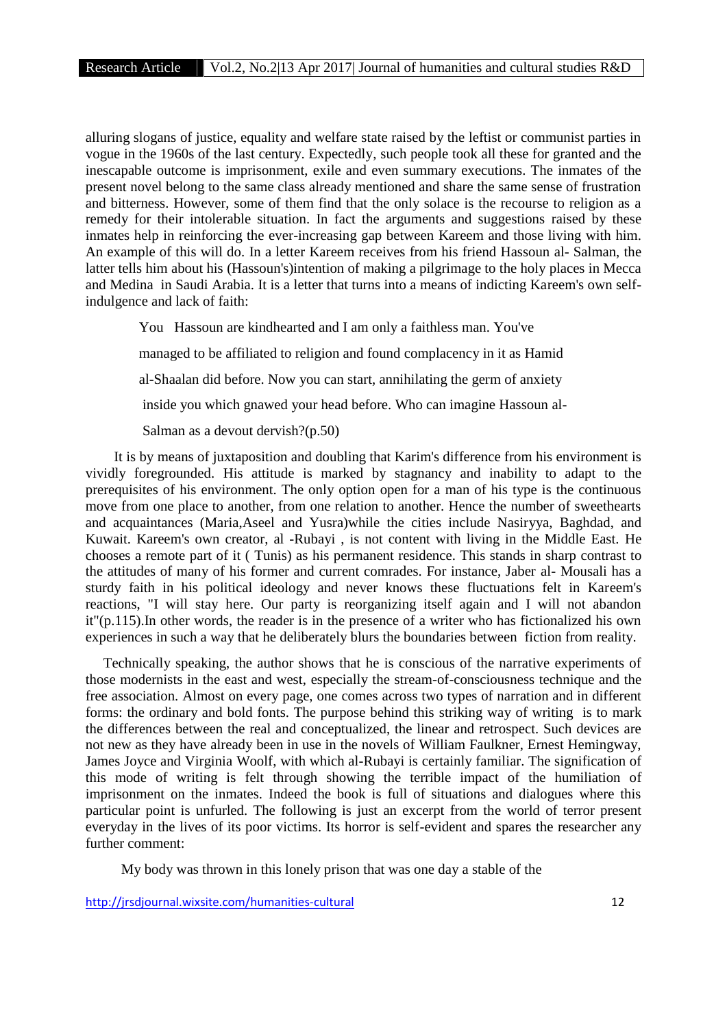alluring slogans of justice, equality and welfare state raised by the leftist or communist parties in vogue in the 1960s of the last century. Expectedly, such people took all these for granted and the inescapable outcome is imprisonment, exile and even summary executions. The inmates of the present novel belong to the same class already mentioned and share the same sense of frustration and bitterness. However, some of them find that the only solace is the recourse to religion as a remedy for their intolerable situation. In fact the arguments and suggestions raised by these inmates help in reinforcing the ever-increasing gap between Kareem and those living with him. An example of this will do. In a letter Kareem receives from his friend Hassoun al- Salman, the latter tells him about his (Hassoun's)intention of making a pilgrimage to the holy places in Mecca and Medina in Saudi Arabia. It is a letter that turns into a means of indicting Kareem's own selfindulgence and lack of faith:

You Hassoun are kindhearted and I am only a faithless man. You've managed to be affiliated to religion and found complacency in it as Hamid al-Shaalan did before. Now you can start, annihilating the germ of anxiety inside you which gnawed your head before. Who can imagine Hassoun al- Salman as a devout dervish?(p.50)

It is by means of juxtaposition and doubling that Karim's difference from his environment is vividly foregrounded. His attitude is marked by stagnancy and inability to adapt to the prerequisites of his environment. The only option open for a man of his type is the continuous move from one place to another, from one relation to another. Hence the number of sweethearts and acquaintances (Maria,Aseel and Yusra)while the cities include Nasiryya, Baghdad, and Kuwait. Kareem's own creator, al -Rubayi , is not content with living in the Middle East. He chooses a remote part of it ( Tunis) as his permanent residence. This stands in sharp contrast to the attitudes of many of his former and current comrades. For instance, Jaber al- Mousali has a sturdy faith in his political ideology and never knows these fluctuations felt in Kareem's reactions, "I will stay here. Our party is reorganizing itself again and I will not abandon it"(p.115).In other words, the reader is in the presence of a writer who has fictionalized his own experiences in such a way that he deliberately blurs the boundaries between fiction from reality.

Technically speaking, the author shows that he is conscious of the narrative experiments of those modernists in the east and west, especially the stream-of-consciousness technique and the free association. Almost on every page, one comes across two types of narration and in different forms: the ordinary and bold fonts. The purpose behind this striking way of writing is to mark the differences between the real and conceptualized, the linear and retrospect. Such devices are not new as they have already been in use in the novels of William Faulkner, Ernest Hemingway, James Joyce and Virginia Woolf, with which al-Rubayi is certainly familiar. The signification of this mode of writing is felt through showing the terrible impact of the humiliation of imprisonment on the inmates. Indeed the book is full of situations and dialogues where this particular point is unfurled. The following is just an excerpt from the world of terror present everyday in the lives of its poor victims. Its horror is self-evident and spares the researcher any further comment:

My body was thrown in this lonely prison that was one day a stable of the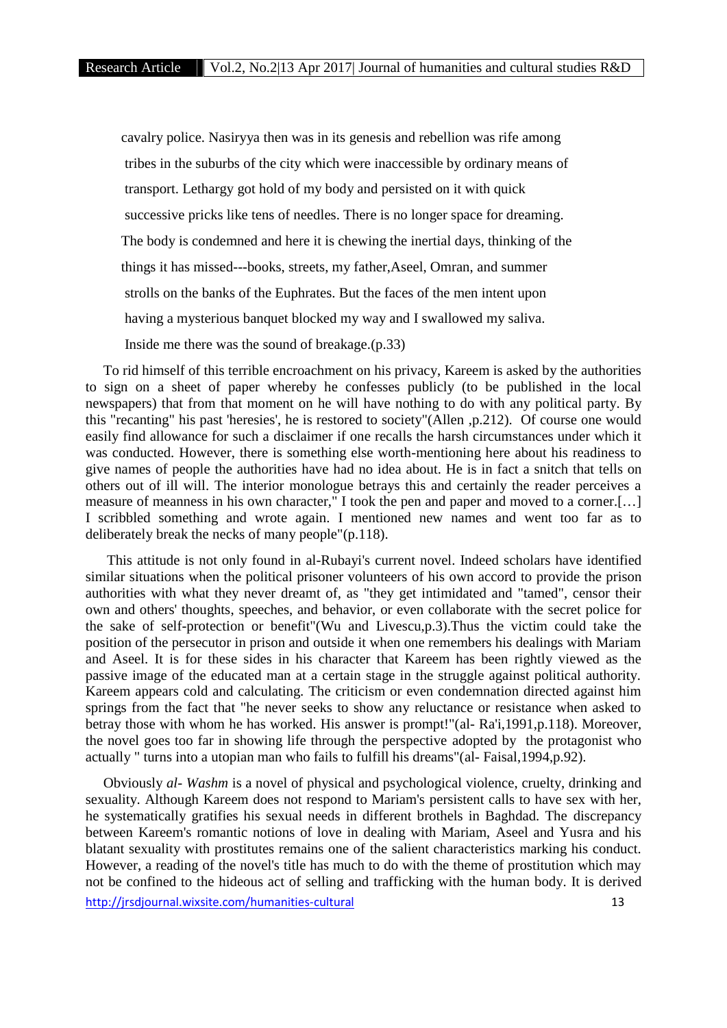cavalry police. Nasiryya then was in its genesis and rebellion was rife among tribes in the suburbs of the city which were inaccessible by ordinary means of transport. Lethargy got hold of my body and persisted on it with quick successive pricks like tens of needles. There is no longer space for dreaming. The body is condemned and here it is chewing the inertial days, thinking of the things it has missed---books, streets, my father,Aseel, Omran, and summer strolls on the banks of the Euphrates. But the faces of the men intent upon having a mysterious banquet blocked my way and I swallowed my saliva.

Inside me there was the sound of breakage.(p.33)

To rid himself of this terrible encroachment on his privacy, Kareem is asked by the authorities to sign on a sheet of paper whereby he confesses publicly (to be published in the local newspapers) that from that moment on he will have nothing to do with any political party. By this "recanting" his past 'heresies', he is restored to society"(Allen ,p.212). Of course one would easily find allowance for such a disclaimer if one recalls the harsh circumstances under which it was conducted. However, there is something else worth-mentioning here about his readiness to give names of people the authorities have had no idea about. He is in fact a snitch that tells on others out of ill will. The interior monologue betrays this and certainly the reader perceives a measure of meanness in his own character," I took the pen and paper and moved to a corner.[…] I scribbled something and wrote again. I mentioned new names and went too far as to deliberately break the necks of many people"(p.118).

This attitude is not only found in al-Rubayi's current novel. Indeed scholars have identified similar situations when the political prisoner volunteers of his own accord to provide the prison authorities with what they never dreamt of, as "they get intimidated and "tamed", censor their own and others' thoughts, speeches, and behavior, or even collaborate with the secret police for the sake of self-protection or benefit"(Wu and Livescu,p.3).Thus the victim could take the position of the persecutor in prison and outside it when one remembers his dealings with Mariam and Aseel. It is for these sides in his character that Kareem has been rightly viewed as the passive image of the educated man at a certain stage in the struggle against political authority. Kareem appears cold and calculating. The criticism or even condemnation directed against him springs from the fact that "he never seeks to show any reluctance or resistance when asked to betray those with whom he has worked. His answer is prompt!"(al- Ra'i,1991,p.118). Moreover, the novel goes too far in showing life through the perspective adopted by the protagonist who actually " turns into a utopian man who fails to fulfill his dreams"(al- Faisal,1994,p.92).

Obviously *al- Washm* is a novel of physical and psychological violence, cruelty, drinking and sexuality. Although Kareem does not respond to Mariam's persistent calls to have sex with her, he systematically gratifies his sexual needs in different brothels in Baghdad. The discrepancy between Kareem's romantic notions of love in dealing with Mariam, Aseel and Yusra and his blatant sexuality with prostitutes remains one of the salient characteristics marking his conduct. However, a reading of the novel's title has much to do with the theme of prostitution which may not be confined to the hideous act of selling and trafficking with the human body. It is derived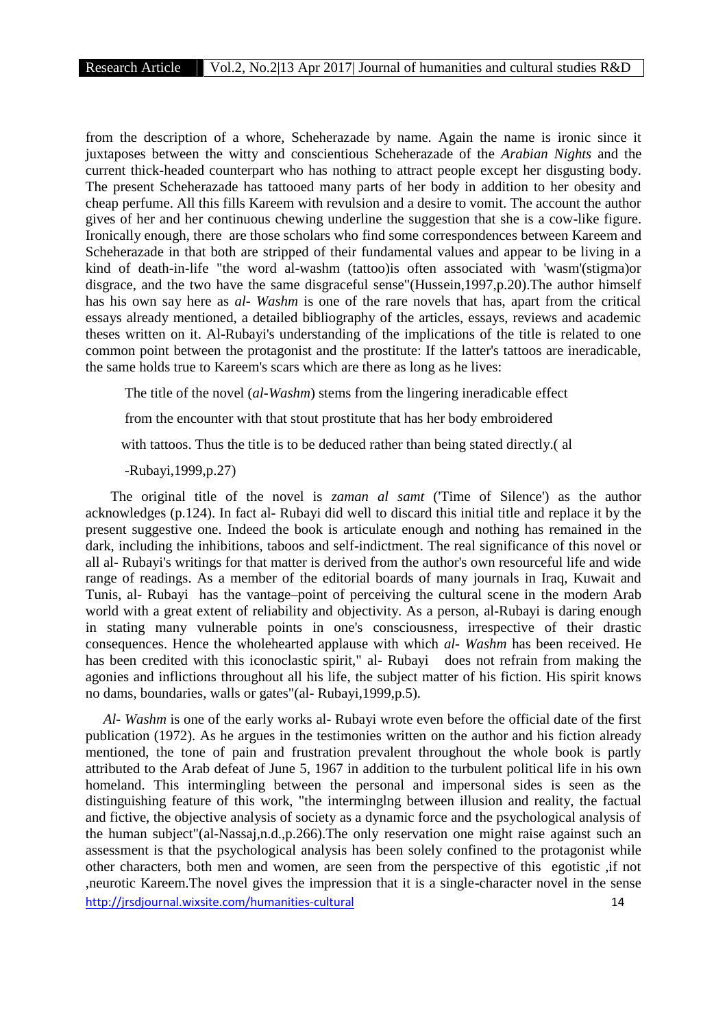from the description of a whore, Scheherazade by name. Again the name is ironic since it juxtaposes between the witty and conscientious Scheherazade of the *Arabian Nights* and the current thick-headed counterpart who has nothing to attract people except her disgusting body. The present Scheherazade has tattooed many parts of her body in addition to her obesity and cheap perfume. All this fills Kareem with revulsion and a desire to vomit. The account the author gives of her and her continuous chewing underline the suggestion that she is a cow-like figure. Ironically enough, there are those scholars who find some correspondences between Kareem and Scheherazade in that both are stripped of their fundamental values and appear to be living in a kind of death-in-life "the word al-washm (tattoo)is often associated with 'wasm'(stigma)or disgrace, and the two have the same disgraceful sense"(Hussein,1997,p.20).The author himself has his own say here as *al- Washm* is one of the rare novels that has, apart from the critical essays already mentioned, a detailed bibliography of the articles, essays, reviews and academic theses written on it. Al-Rubayi's understanding of the implications of the title is related to one common point between the protagonist and the prostitute: If the latter's tattoos are ineradicable, the same holds true to Kareem's scars which are there as long as he lives:

The title of the novel (*al-Washm*) stems from the lingering ineradicable effect

from the encounter with that stout prostitute that has her body embroidered

with tattoos. Thus the title is to be deduced rather than being stated directly.( al

-Rubayi,1999,p.27)

The original title of the novel is *zaman al samt* ('Time of Silence') as the author acknowledges (p.124). In fact al- Rubayi did well to discard this initial title and replace it by the present suggestive one. Indeed the book is articulate enough and nothing has remained in the dark, including the inhibitions, taboos and self-indictment. The real significance of this novel or all al- Rubayi's writings for that matter is derived from the author's own resourceful life and wide range of readings. As a member of the editorial boards of many journals in Iraq, Kuwait and Tunis, al- Rubayi has the vantage–point of perceiving the cultural scene in the modern Arab world with a great extent of reliability and objectivity. As a person, al-Rubayi is daring enough in stating many vulnerable points in one's consciousness, irrespective of their drastic consequences. Hence the wholehearted applause with which *al- Washm* has been received. He has been credited with this iconoclastic spirit," al- Rubayi does not refrain from making the agonies and inflictions throughout all his life, the subject matter of his fiction. His spirit knows no dams, boundaries, walls or gates"(al- Rubayi,1999,p.5).

http://jrsdjournal.wixsite.com/humanities-cultural 14 *Al- Washm* is one of the early works al- Rubayi wrote even before the official date of the first publication (1972). As he argues in the testimonies written on the author and his fiction already mentioned, the tone of pain and frustration prevalent throughout the whole book is partly attributed to the Arab defeat of June 5, 1967 in addition to the turbulent political life in his own homeland. This intermingling between the personal and impersonal sides is seen as the distinguishing feature of this work, "the interminglng between illusion and reality, the factual and fictive, the objective analysis of society as a dynamic force and the psychological analysis of the human subject"(al-Nassaj,n.d.,p.266).The only reservation one might raise against such an assessment is that the psychological analysis has been solely confined to the protagonist while other characters, both men and women, are seen from the perspective of this egotistic ,if not ,neurotic Kareem.The novel gives the impression that it is a single-character novel in the sense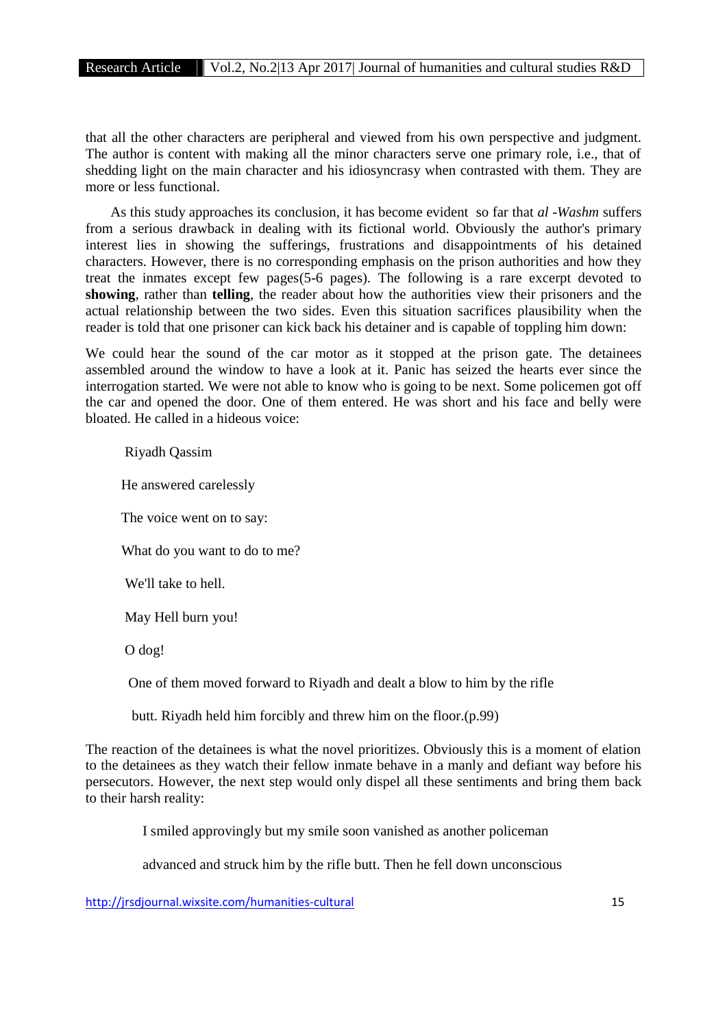that all the other characters are peripheral and viewed from his own perspective and judgment. The author is content with making all the minor characters serve one primary role, i.e., that of shedding light on the main character and his idiosyncrasy when contrasted with them. They are more or less functional.

As this study approaches its conclusion, it has become evident so far that *al -Washm* suffers from a serious drawback in dealing with its fictional world. Obviously the author's primary interest lies in showing the sufferings, frustrations and disappointments of his detained characters. However, there is no corresponding emphasis on the prison authorities and how they treat the inmates except few pages(5-6 pages). The following is a rare excerpt devoted to **showing**, rather than **telling**, the reader about how the authorities view their prisoners and the actual relationship between the two sides. Even this situation sacrifices plausibility when the reader is told that one prisoner can kick back his detainer and is capable of toppling him down:

We could hear the sound of the car motor as it stopped at the prison gate. The detainees assembled around the window to have a look at it. Panic has seized the hearts ever since the interrogation started. We were not able to know who is going to be next. Some policemen got off the car and opened the door. One of them entered. He was short and his face and belly were bloated. He called in a hideous voice:

#### Riyadh Qassim

He answered carelessly

The voice went on to say:

What do you want to do to me?

We'll take to hell.

May Hell burn you!

O dog!

One of them moved forward to Riyadh and dealt a blow to him by the rifle

butt. Riyadh held him forcibly and threw him on the floor.(p.99)

The reaction of the detainees is what the novel prioritizes. Obviously this is a moment of elation to the detainees as they watch their fellow inmate behave in a manly and defiant way before his persecutors. However, the next step would only dispel all these sentiments and bring them back to their harsh reality:

I smiled approvingly but my smile soon vanished as another policeman

advanced and struck him by the rifle butt. Then he fell down unconscious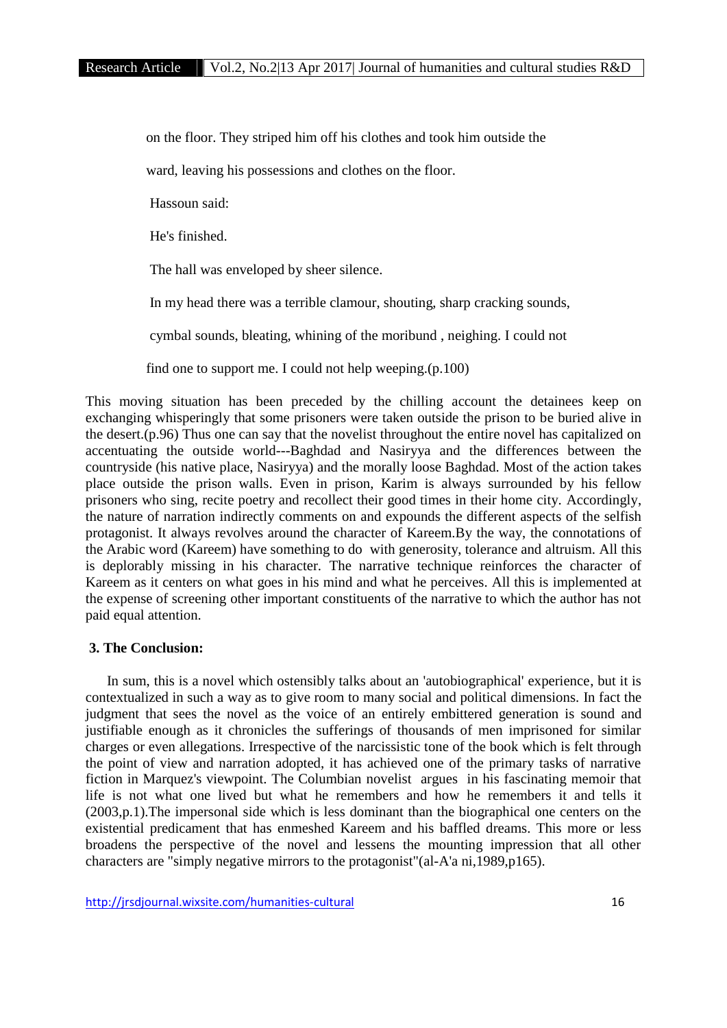on the floor. They striped him off his clothes and took him outside the

ward, leaving his possessions and clothes on the floor.

Hassoun said:

He's finished.

The hall was enveloped by sheer silence.

In my head there was a terrible clamour, shouting, sharp cracking sounds,

cymbal sounds, bleating, whining of the moribund , neighing. I could not

find one to support me. I could not help weeping.(p.100)

This moving situation has been preceded by the chilling account the detainees keep on exchanging whisperingly that some prisoners were taken outside the prison to be buried alive in the desert.(p.96) Thus one can say that the novelist throughout the entire novel has capitalized on accentuating the outside world---Baghdad and Nasiryya and the differences between the countryside (his native place, Nasiryya) and the morally loose Baghdad. Most of the action takes place outside the prison walls. Even in prison, Karim is always surrounded by his fellow prisoners who sing, recite poetry and recollect their good times in their home city. Accordingly, the nature of narration indirectly comments on and expounds the different aspects of the selfish protagonist. It always revolves around the character of Kareem.By the way, the connotations of the Arabic word (Kareem) have something to do with generosity, tolerance and altruism. All this is deplorably missing in his character. The narrative technique reinforces the character of Kareem as it centers on what goes in his mind and what he perceives. All this is implemented at the expense of screening other important constituents of the narrative to which the author has not paid equal attention.

## **3. The Conclusion:**

In sum, this is a novel which ostensibly talks about an 'autobiographical' experience, but it is contextualized in such a way as to give room to many social and political dimensions. In fact the judgment that sees the novel as the voice of an entirely embittered generation is sound and justifiable enough as it chronicles the sufferings of thousands of men imprisoned for similar charges or even allegations. Irrespective of the narcissistic tone of the book which is felt through the point of view and narration adopted, it has achieved one of the primary tasks of narrative fiction in Marquez's viewpoint. The Columbian novelist argues in his fascinating memoir that life is not what one lived but what he remembers and how he remembers it and tells it (2003,p.1).The impersonal side which is less dominant than the biographical one centers on the existential predicament that has enmeshed Kareem and his baffled dreams. This more or less broadens the perspective of the novel and lessens the mounting impression that all other characters are "simply negative mirrors to the protagonist"(al-A'a ni,1989,p165).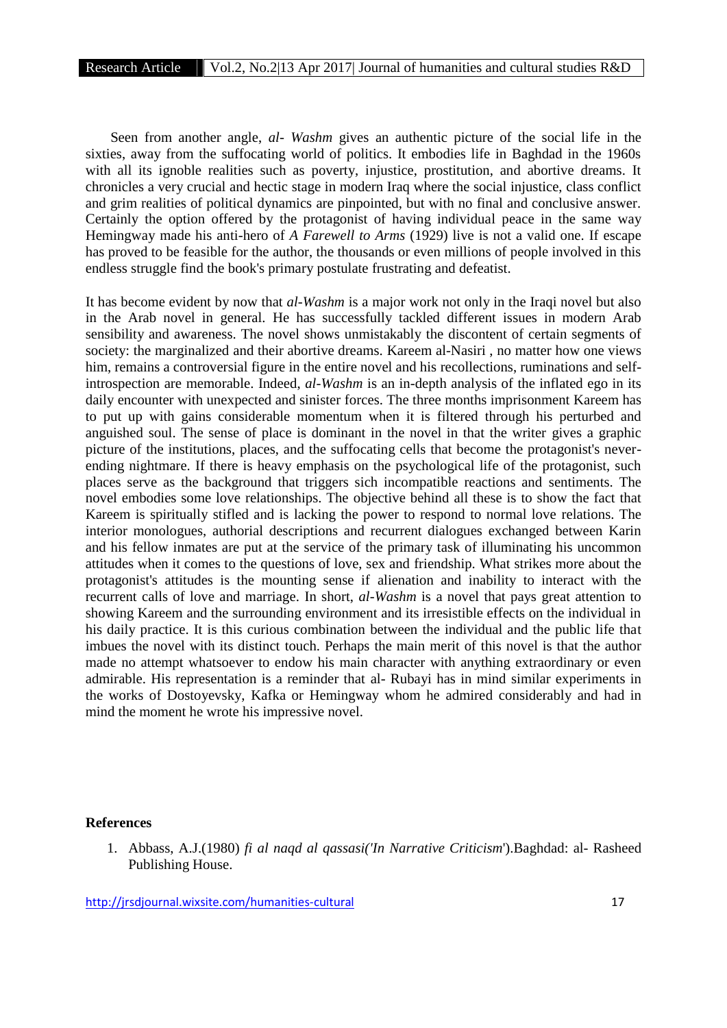Seen from another angle, *al- Washm* gives an authentic picture of the social life in the sixties, away from the suffocating world of politics. It embodies life in Baghdad in the 1960s with all its ignoble realities such as poverty, injustice, prostitution, and abortive dreams. It chronicles a very crucial and hectic stage in modern Iraq where the social injustice, class conflict and grim realities of political dynamics are pinpointed, but with no final and conclusive answer. Certainly the option offered by the protagonist of having individual peace in the same way Hemingway made his anti-hero of *A Farewell to Arms* (1929) live is not a valid one. If escape has proved to be feasible for the author, the thousands or even millions of people involved in this endless struggle find the book's primary postulate frustrating and defeatist.

It has become evident by now that *al-Washm* is a major work not only in the Iraqi novel but also in the Arab novel in general. He has successfully tackled different issues in modern Arab sensibility and awareness. The novel shows unmistakably the discontent of certain segments of society: the marginalized and their abortive dreams. Kareem al-Nasiri , no matter how one views him, remains a controversial figure in the entire novel and his recollections, ruminations and selfintrospection are memorable. Indeed, *al-Washm* is an in-depth analysis of the inflated ego in its daily encounter with unexpected and sinister forces. The three months imprisonment Kareem has to put up with gains considerable momentum when it is filtered through his perturbed and anguished soul. The sense of place is dominant in the novel in that the writer gives a graphic picture of the institutions, places, and the suffocating cells that become the protagonist's never ending nightmare. If there is heavy emphasis on the psychological life of the protagonist, such places serve as the background that triggers sich incompatible reactions and sentiments. The novel embodies some love relationships. The objective behind all these is to show the fact that Kareem is spiritually stifled and is lacking the power to respond to normal love relations. The interior monologues, authorial descriptions and recurrent dialogues exchanged between Karin and his fellow inmates are put at the service of the primary task of illuminating his uncommon attitudes when it comes to the questions of love, sex and friendship. What strikes more about the protagonist's attitudes is the mounting sense if alienation and inability to interact with the recurrent calls of love and marriage. In short, *al-Washm* is a novel that pays great attention to showing Kareem and the surrounding environment and its irresistible effects on the individual in his daily practice. It is this curious combination between the individual and the public life that imbues the novel with its distinct touch. Perhaps the main merit of this novel is that the author made no attempt whatsoever to endow his main character with anything extraordinary or even admirable. His representation is a reminder that al- Rubayi has in mind similar experiments in the works of Dostoyevsky, Kafka or Hemingway whom he admired considerably and had in mind the moment he wrote his impressive novel.

#### **References**

1. Abbass, A.J.(1980) *fi al naqd al qassasi('In Narrative Criticism*').Baghdad: al- Rasheed Publishing House.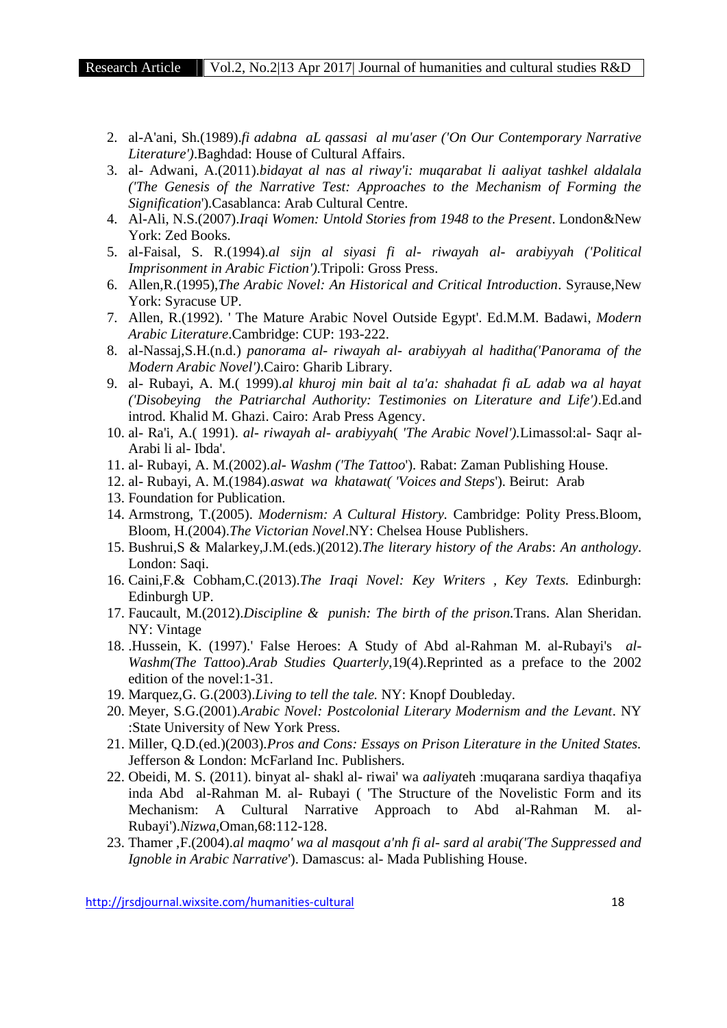- 2. al-A'ani, Sh.(1989).*fi adabna aL qassasi al mu'aser ('On Our Contemporary Narrative Literature')*.Baghdad: House of Cultural Affairs.
- 3. al- Adwani, A.(2011).*bidayat al nas al riway'i: muqarabat li aaliyat tashkel aldalala ('The Genesis of the Narrative Test: Approaches to the Mechanism of Forming the Signification*').Casablanca: Arab Cultural Centre.
- 4. Al-Ali, N.S.(2007).*Iraqi Women: Untold Stories from 1948 to the Present*. London&New York: Zed Books.
- 5. al-Faisal, S. R.(1994).*al sijn al siyasi fi al- riwayah al- arabiyyah ('Political Imprisonment in Arabic Fiction').*Tripoli: Gross Press.
- 6. Allen,R.(1995),*The Arabic Novel: An Historical and Critical Introduction*. Syrause,New York: Syracuse UP.
- 7. Allen, R.(1992). ' The Mature Arabic Novel Outside Egypt'. Ed.M.M. Badawi, *Modern Arabic Literature*.Cambridge: CUP: 193-222.
- 8. al-Nassaj,S.H.(n.d.) *panorama al- riwayah al- arabiyyah al haditha('Panorama of the Modern Arabic Novel')*.Cairo: Gharib Library.
- 9. al- Rubayi, A. M.( 1999).*al khuroj min bait al ta'a: shahadat fi aL adab wa al hayat ('Disobeying the Patriarchal Authority: Testimonies on Literature and Life')*.Ed.and introd. Khalid M. Ghazi. Cairo: Arab Press Agency.
- 10. al- Ra'i, A.( 1991). *al- riwayah al- arabiyyah*( *'The Arabic Novel').*Limassol:al- Saqr al- Arabi li al- Ibda'.
- 11. al- Rubayi, A. M.(2002).*al- Washm ('The Tattoo*'). Rabat: Zaman Publishing House.
- 12. al- Rubayi, A. M.(1984).*aswat wa khatawat( 'Voices and Steps*'). Beirut: Arab
- 13. Foundation for Publication.
- 14. Armstrong, T.(2005). *Modernism: A Cultural History.* Cambridge: Polity Press.Bloom, Bloom, H.(2004).*The Victorian Novel*.NY: Chelsea House Publishers.
- 15. Bushrui,S & Malarkey,J.M.(eds.)(2012).*The literary history of the Arabs*: *An anthology*. London: Saqi.
- 16. Caini,F.& Cobham,C.(2013).*The Iraqi Novel: Key Writers , Key Texts.* Edinburgh: Edinburgh UP.
- 17. Faucault, M.(2012).*Discipline & punish: The birth of the prison.*Trans. Alan Sheridan. NY: Vintage
- 18. .Hussein, K. (1997).' False Heroes: A Study of Abd al-Rahman M. al-Rubayi's *al- Washm(The Tattoo*).*Arab Studies Quarterly*,19(4).Reprinted as a preface to the 2002 edition of the novel:1-31.
- 19. Marquez,G. G.(2003).*Living to tell the tale.* NY: Knopf Doubleday.
- 20. Meyer, S.G.(2001).*Arabic Novel: Postcolonial Literary Modernism and the Levant*. NY :State University of New York Press.
- 21. Miller, Q.D.(ed.)(2003).*Pros and Cons: Essays on Prison Literature in the United States.* Jefferson & London: McFarland Inc. Publishers.
- 22. Obeidi, M. S. (2011). binyat al- shakl al- riwai' wa *aaliyat*eh :muqarana sardiya thaqafiya inda Abd al-Rahman M. al- Rubayi ( 'The Structure of the Novelistic Form and its Mechanism: A Cultural Narrative Approach to Abd al-Rahman M. al- Rubayi').*Nizwa,*Oman,68:112-128.
- 23. Thamer ,F.(2004).*al maqmo' wa al masqout a'nh fi al- sard al arabi('The Suppressed and Ignoble in Arabic Narrative*'). Damascus: al- Mada Publishing House.